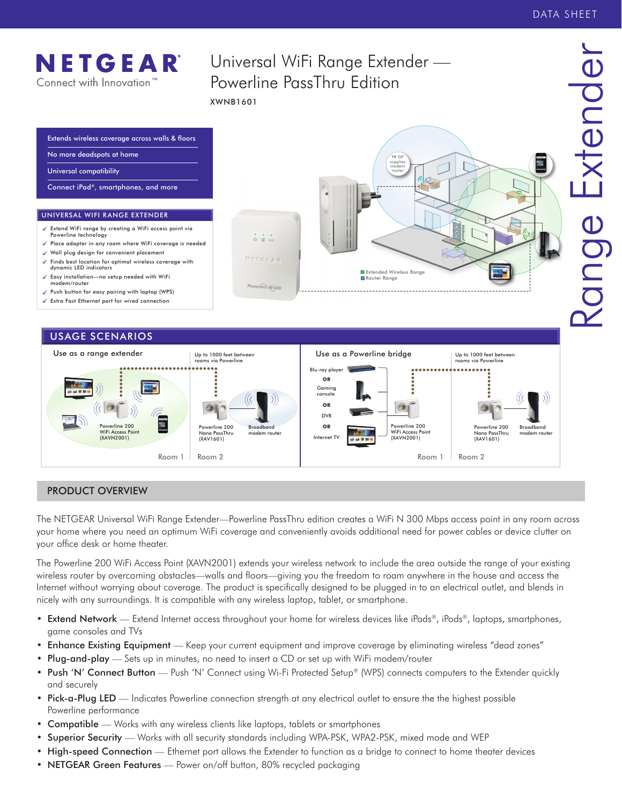

# PRODUCT OVERVIEW

The NETGEAR Universal WiFi Range Extender—Powerline PassThru edition creates a WiFi N 300 Mbps access point in any room across your home where you need an optimum WiFi coverage and conveniently avoids additional need for power cables or device clutter on your office desk or home theater.

Room 1 | Room 2 | Room 1 | Room 2 | Room 2 | Room 2 | Room 2 | Room 2 | Room 2 | Room 2

The Powerline 200 WiFi Access Point (XAVN2001) extends your wireless network to include the area outside the range of your existing wireless router by overcoming obstacles—walls and floors—giving you the freedom to roam anywhere in the house and access the Internet without worrying about coverage. The product is specifically designed to be plugged in to an electrical outlet, and blends in nicely with any surroundings. It is compatible with any wireless laptop, tablet, or smartphone.

- Extend Network Extend Internet access throughout your home for wireless devices like iPads®, iPods®, laptops, smartphones, game consoles and TVs
- Enhance Existing Equipment Keep your current equipment and improve coverage by eliminating wireless "dead zones"
- Plug-and-play Sets up in minutes, no need to insert a CD or set up with WiFi modem/router
- Push 'N' Connect Button Push 'N' Connect using Wi-Fi Protected Setup® (WPS) connects computers to the Extender quickly and securely
- Pick-a-Plug LED Indicates Powerline connection strength at any electrical outlet to ensure the the highest possible Powerline performance
- Compatible Works with any wireless clients like laptops, tablets or smartphones
- Superior Security Works with all security standards including WPA-PSK, WPA2-PSK, mixed mode and WEP
- High-speed Connection Ethernet port allows the Extender to function as a bridge to connect to home theater devices
- NETGEAR Green Features Power on/off button, 80% recycled packaging